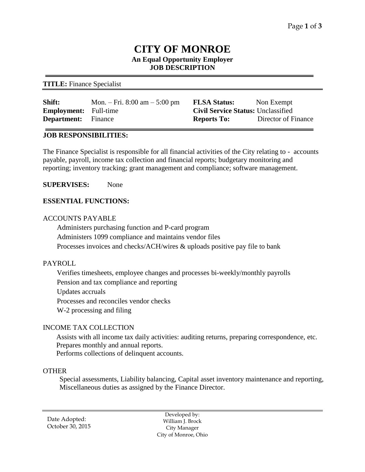# **CITY OF MONROE An Equal Opportunity Employer JOB DESCRIPTION**

### **TITLE:** Finance Specialist

| Shift:                       | Mon. – Fri. 8:00 am – 5:00 pm | <b>FLSA Status:</b>                       | Non Exempt          |
|------------------------------|-------------------------------|-------------------------------------------|---------------------|
| <b>Employment:</b> Full-time |                               | <b>Civil Service Status: Unclassified</b> |                     |
| <b>Department:</b> Finance   |                               | <b>Reports To:</b>                        | Director of Finance |

### **JOB RESPONSIBILITIES:**

The Finance Specialist is responsible for all financial activities of the City relating to - accounts payable, payroll, income tax collection and financial reports; budgetary monitoring and reporting; inventory tracking; grant management and compliance; software management.

**SUPERVISES:** None

### **ESSENTIAL FUNCTIONS:**

### ACCOUNTS PAYABLE

Administers purchasing function and P-card program Administers 1099 compliance and maintains vendor files Processes invoices and checks/ACH/wires & uploads positive pay file to bank

### PAYROLL

Verifies timesheets, employee changes and processes bi-weekly/monthly payrolls Pension and tax compliance and reporting Updates accruals Processes and reconciles vendor checks W-2 processing and filing

### INCOME TAX COLLECTION

Assists with all income tax daily activities: auditing returns, preparing correspondence, etc. Prepares monthly and annual reports.

Performs collections of delinquent accounts.

## **OTHER**

Special assessments, Liability balancing, Capital asset inventory maintenance and reporting, Miscellaneous duties as assigned by the Finance Director.

Date Adopted: October 30, 2015

Developed by: William J. Brock City Manager City of Monroe, Ohio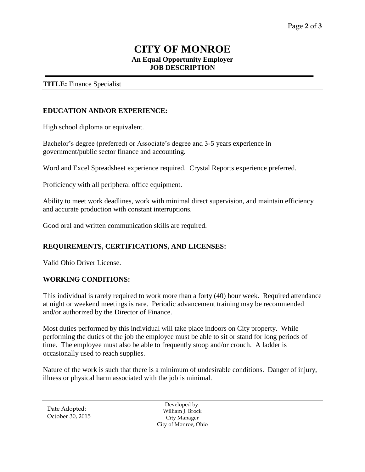# **CITY OF MONROE An Equal Opportunity Employer JOB DESCRIPTION**

### **TITLE:** Finance Specialist

### **EDUCATION AND/OR EXPERIENCE:**

High school diploma or equivalent.

Bachelor's degree (preferred) or Associate's degree and 3-5 years experience in government/public sector finance and accounting.

Word and Excel Spreadsheet experience required. Crystal Reports experience preferred.

Proficiency with all peripheral office equipment.

Ability to meet work deadlines, work with minimal direct supervision, and maintain efficiency and accurate production with constant interruptions.

Good oral and written communication skills are required.

### **REQUIREMENTS, CERTIFICATIONS, AND LICENSES:**

Valid Ohio Driver License.

#### **WORKING CONDITIONS:**

This individual is rarely required to work more than a forty (40) hour week. Required attendance at night or weekend meetings is rare. Periodic advancement training may be recommended and/or authorized by the Director of Finance.

Most duties performed by this individual will take place indoors on City property. While performing the duties of the job the employee must be able to sit or stand for long periods of time. The employee must also be able to frequently stoop and/or crouch. A ladder is occasionally used to reach supplies.

Nature of the work is such that there is a minimum of undesirable conditions. Danger of injury, illness or physical harm associated with the job is minimal.

Date Adopted: October 30, 2015

Developed by: William J. Brock City Manager City of Monroe, Ohio